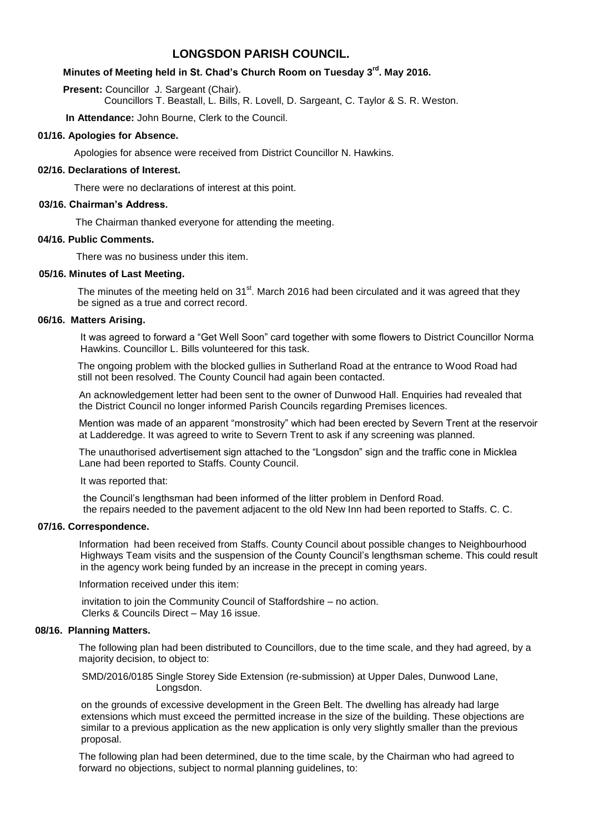# **LONGSDON PARISH COUNCIL.**

# **Minutes of Meeting held in St. Chad's Church Room on Tuesday 3 rd . May 2016.**

**Present: Councillor J. Sargeant (Chair).** 

Councillors T. Beastall, L. Bills, R. Lovell, D. Sargeant, C. Taylor & S. R. Weston.

**In Attendance:** John Bourne, Clerk to the Council.

### **01/16. Apologies for Absence.**

Apologies for absence were received from District Councillor N. Hawkins.

### **02/16. Declarations of Interest.**

There were no declarations of interest at this point.

### **03/16. Chairman's Address.**

The Chairman thanked everyone for attending the meeting.

# **04/16. Public Comments.**

There was no business under this item.

#### **05/16. Minutes of Last Meeting.**

The minutes of the meeting held on 31<sup>st</sup>. March 2016 had been circulated and it was agreed that they be signed as a true and correct record.

# **06/16. Matters Arising.**

 It was agreed to forward a "Get Well Soon" card together with some flowers to District Councillor Norma Hawkins. Councillor L. Bills volunteered for this task.

 The ongoing problem with the blocked gullies in Sutherland Road at the entrance to Wood Road had still not been resolved. The County Council had again been contacted.

 An acknowledgement letter had been sent to the owner of Dunwood Hall. Enquiries had revealed that the District Council no longer informed Parish Councils regarding Premises licences.

 Mention was made of an apparent "monstrosity" which had been erected by Severn Trent at the reservoir at Ladderedge. It was agreed to write to Severn Trent to ask if any screening was planned.

 The unauthorised advertisement sign attached to the "Longsdon" sign and the traffic cone in Micklea Lane had been reported to Staffs. County Council.

It was reported that:

 the Council's lengthsman had been informed of the litter problem in Denford Road. the repairs needed to the pavement adjacent to the old New Inn had been reported to Staffs. C. C.

#### **07/16. Correspondence.**

Information had been received from Staffs. County Council about possible changes to Neighbourhood Highways Team visits and the suspension of the County Council's lengthsman scheme. This could result in the agency work being funded by an increase in the precept in coming years.

Information received under this item:

 invitation to join the Community Council of Staffordshire – no action. Clerks & Councils Direct – May 16 issue.

# **08/16. Planning Matters.**

 The following plan had been distributed to Councillors, due to the time scale, and they had agreed, by a majority decision, to object to:

 SMD/2016/0185 Single Storey Side Extension (re-submission) at Upper Dales, Dunwood Lane, Longsdon.

 on the grounds of excessive development in the Green Belt. The dwelling has already had large extensions which must exceed the permitted increase in the size of the building. These objections are similar to a previous application as the new application is only very slightly smaller than the previous proposal.

 The following plan had been determined, due to the time scale, by the Chairman who had agreed to forward no objections, subject to normal planning guidelines, to: